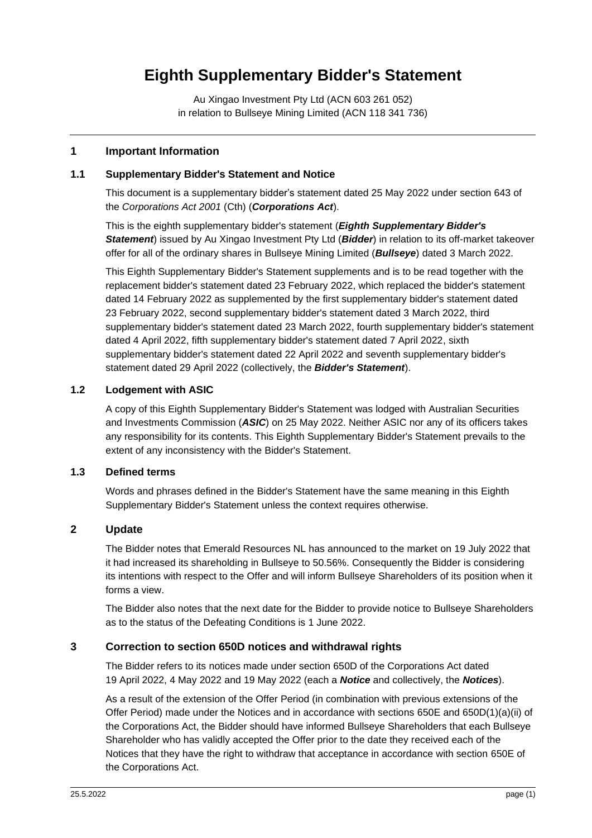# **Eighth Supplementary Bidder's Statement**

Au Xingao Investment Pty Ltd (ACN 603 261 052) in relation to Bullseye Mining Limited (ACN 118 341 736)

#### **1 Important Information**

#### **1.1 Supplementary Bidder's Statement and Notice**

This document is a supplementary bidder's statement dated 25 May 2022 under section 643 of the *Corporations Act 2001* (Cth) (*Corporations Act*).

This is the eighth supplementary bidder's statement (*Eighth Supplementary Bidder's Statement*) issued by Au Xingao Investment Pty Ltd (*Bidder*) in relation to its off-market takeover offer for all of the ordinary shares in Bullseye Mining Limited (*Bullseye*) dated 3 March 2022.

This Eighth Supplementary Bidder's Statement supplements and is to be read together with the replacement bidder's statement dated 23 February 2022, which replaced the bidder's statement dated 14 February 2022 as supplemented by the first supplementary bidder's statement dated 23 February 2022, second supplementary bidder's statement dated 3 March 2022, third supplementary bidder's statement dated 23 March 2022, fourth supplementary bidder's statement dated 4 April 2022, fifth supplementary bidder's statement dated 7 April 2022, sixth supplementary bidder's statement dated 22 April 2022 and seventh supplementary bidder's statement dated 29 April 2022 (collectively, the *Bidder's Statement*).

## **1.2 Lodgement with ASIC**

A copy of this Eighth Supplementary Bidder's Statement was lodged with Australian Securities and Investments Commission (*ASIC*) on 25 May 2022. Neither ASIC nor any of its officers takes any responsibility for its contents. This Eighth Supplementary Bidder's Statement prevails to the extent of any inconsistency with the Bidder's Statement.

#### **1.3 Defined terms**

Words and phrases defined in the Bidder's Statement have the same meaning in this Eighth Supplementary Bidder's Statement unless the context requires otherwise.

# **2 Update**

The Bidder notes that Emerald Resources NL has announced to the market on 19 July 2022 that it had increased its shareholding in Bullseye to 50.56%. Consequently the Bidder is considering its intentions with respect to the Offer and will inform Bullseye Shareholders of its position when it forms a view.

The Bidder also notes that the next date for the Bidder to provide notice to Bullseye Shareholders as to the status of the Defeating Conditions is 1 June 2022.

## **3 Correction to section 650D notices and withdrawal rights**

The Bidder refers to its notices made under section 650D of the Corporations Act dated 19 April 2022, 4 May 2022 and 19 May 2022 (each a *Notice* and collectively, the *Notices*).

As a result of the extension of the Offer Period (in combination with previous extensions of the Offer Period) made under the Notices and in accordance with sections 650E and 650D(1)(a)(ii) of the Corporations Act, the Bidder should have informed Bullseye Shareholders that each Bullseye Shareholder who has validly accepted the Offer prior to the date they received each of the Notices that they have the right to withdraw that acceptance in accordance with section 650E of the Corporations Act.